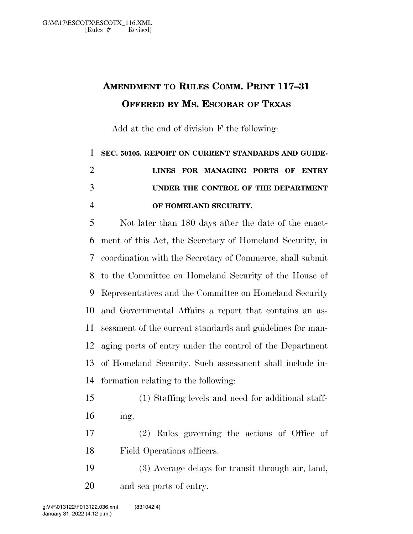## **AMENDMENT TO RULES COMM. PRINT 117–31 OFFERED BY MS. ESCOBAR OF TEXAS**

Add at the end of division F the following:

## **SEC. 50105. REPORT ON CURRENT STANDARDS AND GUIDE- LINES FOR MANAGING PORTS OF ENTRY UNDER THE CONTROL OF THE DEPARTMENT OF HOMELAND SECURITY.**

 Not later than 180 days after the date of the enact- ment of this Act, the Secretary of Homeland Security, in coordination with the Secretary of Commerce, shall submit to the Committee on Homeland Security of the House of Representatives and the Committee on Homeland Security and Governmental Affairs a report that contains an as- sessment of the current standards and guidelines for man- aging ports of entry under the control of the Department of Homeland Security. Such assessment shall include in-formation relating to the following:

- (1) Staffing levels and need for additional staff-ing.
- (2) Rules governing the actions of Office of Field Operations officers.
- (3) Average delays for transit through air, land, and sea ports of entry.